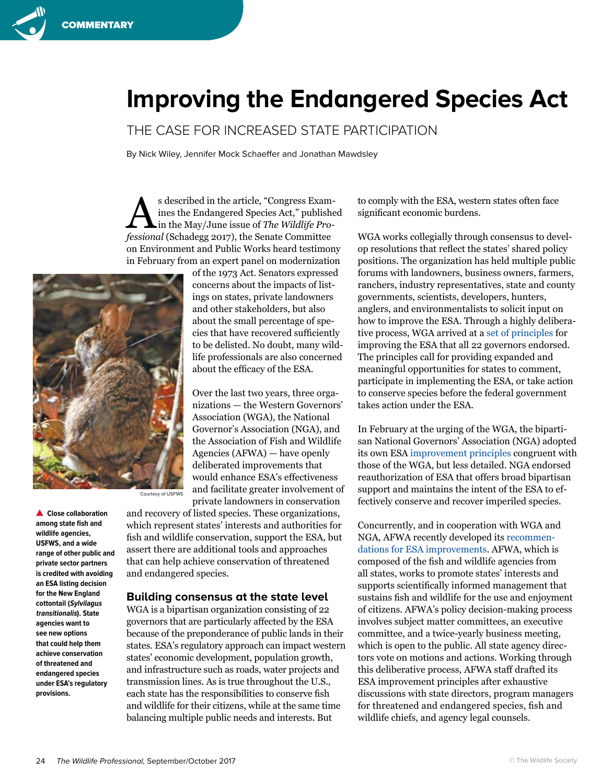## **Improving the Endangered Species Act**

THE CASE FOR INCREASED STATE PARTICIPATION

By Nick Wiley, Jennifer Mock Schaeffer and Jonathan Mawdsley

S described in the article, "Congress Exam-<br>ines the Endangered Species Act," published<br>in the May/June issue of *The Wildlife Pro*ines the Endangered Species Act," published in the May/June issue of *The Wildlife Professional* (Schadegg 2017), the Senate Committee on Environment and Public Works heard testimony in February from an expert panel on modernization of the 1973 Act. Senators expressed



Courtesy of USFWS

**Close collaboration among state fish and wildlife agencies, USFWS, and a wide range of other public and private sector partners is credited with avoiding an ESA listing decision for the New England cottontail (Sylvilagus transitionalis). State agencies want to see new options that could help them achieve conservation of threatened and endangered species under ESA's regulatory provisions.**

concerns about the impacts of listings on states, private landowners and other stakeholders, but also about the small percentage of species that have recovered sufficiently to be delisted. No doubt, many wildlife professionals are also concerned about the efficacy of the ESA.

Over the last two years, three organizations — the Western Governors' Association (WGA), the National Governor's Association (NGA), and the Association of Fish and Wildlife Agencies (AFWA) — have openly deliberated improvements that would enhance ESA's effectiveness and facilitate greater involvement of private landowners in conservation

and recovery of listed species. These organizations, which represent states' interests and authorities for fish and wildlife conservation, support the ESA, but assert there are additional tools and approaches that can help achieve conservation of threatened and endangered species.

## **Building consensus at the state level**

WGA is a bipartisan organization consisting of 22 governors that are particularly affected by the ESA because of the preponderance of public lands in their states. ESA's regulatory approach can impact western states' economic development, population growth, and infrastructure such as roads, water projects and transmission lines. As is true throughout the U.S., each state has the responsibilities to conserve fish and wildlife for their citizens, while at the same time balancing multiple public needs and interests. But

to comply with the ESA, western states often face significant economic burdens.

WGA works collegially through consensus to develop resolutions that reflect the states' shared policy positions. The organization has held multiple public forums with landowners, business owners, farmers, ranchers, industry representatives, state and county governments, scientists, developers, hunters, anglers, and environmentalists to solicit input on how to improve the ESA. Through a highly deliberative process, WGA arrived at a [set of principles](http://westgov.org/images/editor/PR_2017-11_Species_Conservation_and_the_ESA.pdf) for improving the ESA that all 22 governors endorsed. The principles call for providing expanded and meaningful opportunities for states to comment, participate in implementing the ESA, or take action to conserve species before the federal government takes action under the ESA.

In February at the urging of the WGA, the bipartisan National Governors' Association (NGA) adopted its own ESA [improvement principles](https://www.nga.org/cms/policy-positions/nrc/environmental-protection) congruent with those of the WGA, but less detailed. NGA endorsed reauthorization of ESA that offers broad bipartisan support and maintains the intent of the ESA to effectively conserve and recover imperiled species.

Concurrently, and in cooperation with WGA and NGA, AFWA recently developed its [recommen](http://www.fishwildlife.org/files/AFWA_ESA_Short_General_Principles_final_21June2016.pdf)[dations for ESA improvements](http://www.fishwildlife.org/files/AFWA_ESA_Short_General_Principles_final_21June2016.pdf). AFWA, which is composed of the fish and wildlife agencies from all states, works to promote states' interests and supports scientifically informed management that sustains fish and wildlife for the use and enjoyment of citizens. AFWA's policy decision-making process involves subject matter committees, an executive committee, and a twice-yearly business meeting, which is open to the public. All state agency directors vote on motions and actions. Working through this deliberative process, AFWA staff drafted its ESA improvement principles after exhaustive discussions with state directors, program managers for threatened and endangered species, fish and wildlife chiefs, and agency legal counsels.